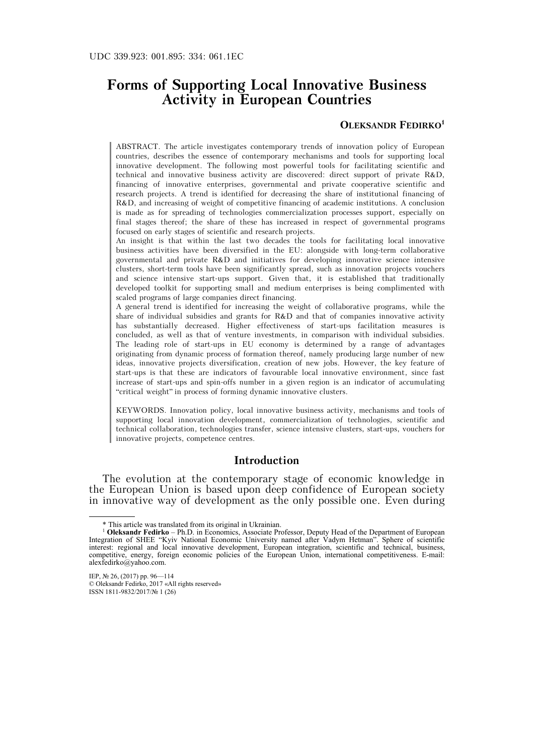# **Forms of Supporting Local Innovative Business Activity in European Countries**

### **OLEKSANDR FEDIRKO1**

ABSTRACT. The article investigates contemporary trends of innovation policy of European countries, describes the essence of contemporary mechanisms and tools for supporting local innovative development. The following most powerful tools for facilitating scientific and technical and innovative business activity are discovered: direct support of private R&D, financing of innovative enterprises, governmental and private cooperative scientific and research projects. A trend is identified for decreasing the share of institutional financing of R&D, and increasing of weight of competitive financing of academic institutions. A conclusion is made as for spreading of technologies commercialization processes support, especially on final stages thereof; the share of these has increased in respect of governmental programs focused on early stages of scientific and research projects.

An insight is that within the last two decades the tools for facilitating local innovative business activities have been diversified in the EU: alongside with long-term collaborative governmental and private R&D and initiatives for developing innovative science intensive clusters, short-term tools have been significantly spread, such as innovation projects vouchers and science intensive start-ups support. Given that, it is established that traditionally developed toolkit for supporting small and medium enterprises is being complimented with scaled programs of large companies direct financing.

A general trend is identified for increasing the weight of collaborative programs, while the share of individual subsidies and grants for  $R&D$  and that of companies innovative activity has substantially decreased. Higher effectiveness of start-ups facilitation measures is concluded, as well as that of venture investments, in comparison with individual subsidies. The leading role of start-ups in EU economy is determined by a range of advantages originating from dynamic process of formation thereof, namely producing large number of new ideas, innovative projects diversification, creation of new jobs. However, the key feature of start-ups is that these are indicators of favourable local innovative environment, since fast increase of start-ups and spin-offs number in a given region is an indicator of accumulating "critical weight" in process of forming dynamic innovative clusters.

KEYWORDS. Innovation policy, local innovative business activity, mechanisms and tools of supporting local innovation development, commercialization of technologies, scientific and technical collaboration, technologies transfer, science intensive clusters, start-ups, vouchers for innovative projects, competence centres.

#### **Introduction**

The evolution at the contemporary stage of economic knowledge in the European Union is based upon deep confidence of European society in innovative way of development as the only possible one. Even during

 <sup>\*</sup> This article was translated from its original in Ukrainian.

<sup>1</sup> **Oleksandr Fedirko** – Ph.D. in Economics, Associate Professor, Deputy Head of the Department of European Integration of SHEE "Kyiv National Economic University named after Vadym Hetman". Sphere of scientific interest: regional and local innovative development, European integration, scientific and technical, business, competitive, energy, foreign economic policies of the European Union, international competitiveness. E-mail: alexfedirko@yahoo.com.

IEP, № 26, (2017) pp. 96—114 © Oleksandr Fedirko, 2017 «All rights reserved» ISSN 1811-9832/2017/№ 1 (26)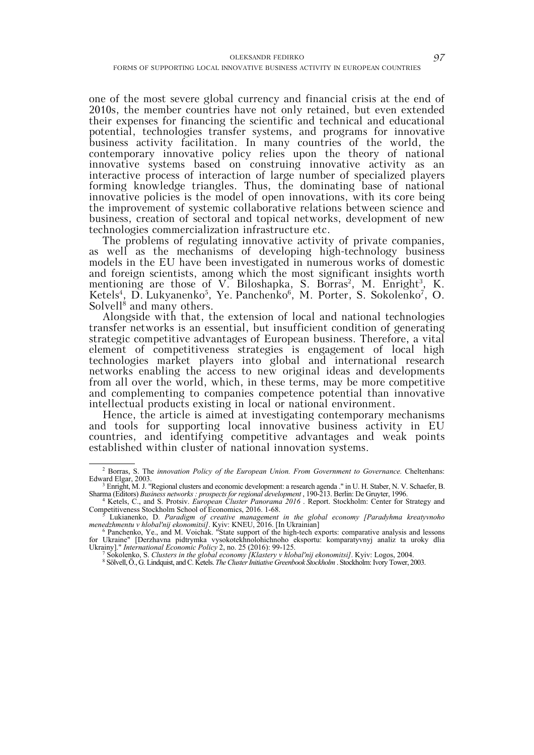one of the most severe global currency and financial crisis at the end of 2010s, the member countries have not only retained, but even extended their expenses for financing the scientific and technical and educational potential, technologies transfer systems, and programs for innovative business activity facilitation. In many countries of the world, the contemporary innovative policy relies upon the theory of national innovative systems based on construing innovative activity as an interactive process of interaction of large number of specialized players forming knowledge triangles. Thus, the dominating base of national innovative policies is the model of open innovations, with its core being the improvement of systemic collaborative relations between science and business, creation of sectoral and topical networks, development of new technologies commercialization infrastructure etc.

The problems of regulating innovative activity of private companies, as well as the mechanisms of developing high-technology business models in the EU have been investigated in numerous works of domestic and foreign scientists, among which the most significant insights worth mentioning are those of V. Biloshapka, S. Borras<sup>2</sup>, M. Enright<sup>3</sup>, K. Ketels<sup>4</sup>, D. Lukyanenko<sup>5</sup>, Ye. Panchenko<sup>6</sup>, M. Porter, S. Sokolenko<sup>7</sup>, O. Solvell<sup>8</sup> and many others.

Alongside with that, the extension of local and national technologies transfer networks is an essential, but insufficient condition of generating strategic competitive advantages of European business. Therefore, a vital element of competitiveness strategies is engagement of local high technologies market players into global and international research networks enabling the access to new original ideas and developments from all over the world, which, in these terms, may be more competitive and complementing to companies competence potential than innovative intellectual products existing in local or national environment.

Hence, the article is aimed at investigating contemporary mechanisms and tools for supporting local innovative business activity in EU countries, and identifying competitive advantages and weak points established within cluster of national innovation systems.

<sup>&</sup>lt;sup>2</sup> Borras, S. The *innovation Policy of the European Union. From Government to Governance. Cheltenhans:* Edward Elgar, 2003.<br><sup>3</sup> Enright, M. J. "Regional clusters and economic development: a research agenda ." in U. H. Staber, N. V. Schaefer, B.

Sharma (Editors) Business networks : prospects for regional development, 190-213. Berlin: De Gruyter, 1996.<br><sup>4</sup> Ketels, C., and S. Protsiv. *European Cluster Panorama 2016*. Report. Stockholm: Center for Strategy and

Competitiveness Stockholm School of Economics, 2016. 1-68.<br><sup>5</sup> Lukianenko, D. *Paradigm of creative management in the global economy [Paradyhma kreatyvnoho* 

menedzhmentu v hlobal'nij ekonomitsi]. Kyiv: KNEU, 2016. [In Ukrainian]<br><sup>6</sup> Panchenko, Ye., and M. Voichak. "State support of the high-tech exports: comparative analysis and lessons

for Ukraine" [Derzhavna pidtrymka vysokotekhnolohichnoho eksportu: komparatyvnyj analiz ta uroky dlia Ukrainy]." *International Economic Policy* 2, no. 25 (2016): 99-125. 7

<sup>&</sup>lt;sup>7</sup> Sokolenko, S. *Clusters in the global economy [Klastery v hlobal'nij ekonomitsi]. Kyiv: Logos, 2004.*<br><sup>8</sup> Sölvell Ö. G. Lindquist and C. Ketels. *The Cluster Initiative Greenbook Stockholm*: Stockholm: Ivory Tower, 20

Sölvell, Ö., G. Lindquist, and C. Ketels. *The Cluster Initiative Greenbook Stockholm* . Stockholm: Ivory Tower, 2003.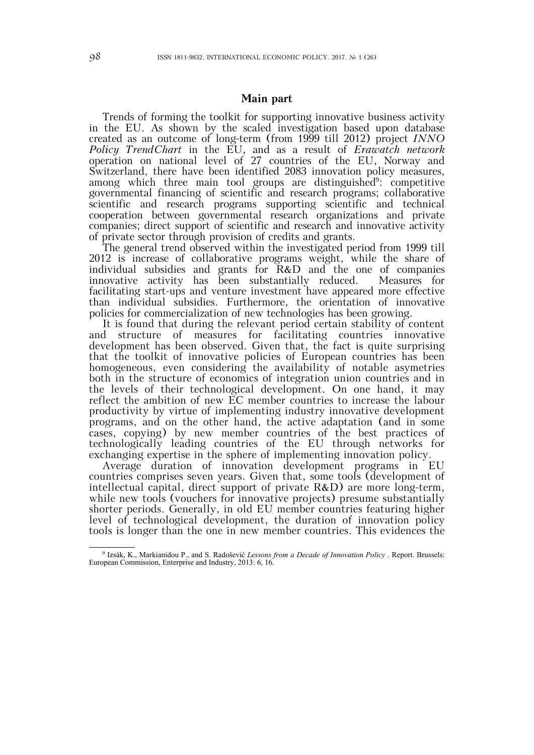#### **Main part**

Trends of forming the toolkit for supporting innovative business activity in the EU. As shown by the scaled investigation based upon database created as an outcome of long-term (from 1999 till 2012) project *INNO Policy TrendChart* in the EU, and as a result of *Erawatch network* operation on national level of 27 countries of the EU, Norway and Switzerland, there have been identified 2083 innovation policy measures, among which three main tool groups are distinguished<sup>9</sup>: competitive governmental financing of scientific and research programs; collaborative scientific and research programs supporting scientific and technical cooperation between governmental research organizations and private companies; direct support of scientific and research and innovative activity of private sector through provision of credits and grants.

The general trend observed within the investigated period from 1999 till 2012 is increase of collaborative programs weight, while the share of individual subsidies and grants for R&D and the one of companies innovative activity has been substantially reduced. Measures for facilitating start-ups and venture investment have appeared more effective than individual subsidies. Furthermore, the orientation of innovative policies for commercialization of new technologies has been growing.

It is found that during the relevant period certain stability of content and structure of measures for facilitating countries innovative development has been observed. Given that, the fact is quite surprising that the toolkit of innovative policies of European countries has been homogeneous, even considering the availability of notable asymetries both in the structure of economics of integration union countries and in the levels of their technological development. On one hand, it may reflect the ambition of new EC member countries to increase the labour productivity by virtue of implementing industry innovative development programs, and on the other hand, the active adaptation (and in some cases, copying) by new member countries of the best practices of technologically leading countries of the EU through networks for exchanging expertise in the sphere of implementing innovation policy.

Average duration of innovation development programs in EU countries comprises seven years. Given that, some tools (development of intellectual capital, direct support of private R&D) are more long-term, while new tools (vouchers for innovative projects) presume substantially shorter periods. Generally, in old EU member countries featuring higher level of technological development, the duration of innovation policy tools is longer than the one in new member countries. This evidences the

 <sup>9</sup> Izsák, K., Markianidou P., and S. Radošević *Lessons from a Decade of Innovation Policy .* Report. Brussels: European Commission, Enterprise and Industry, 2013: 6, 16.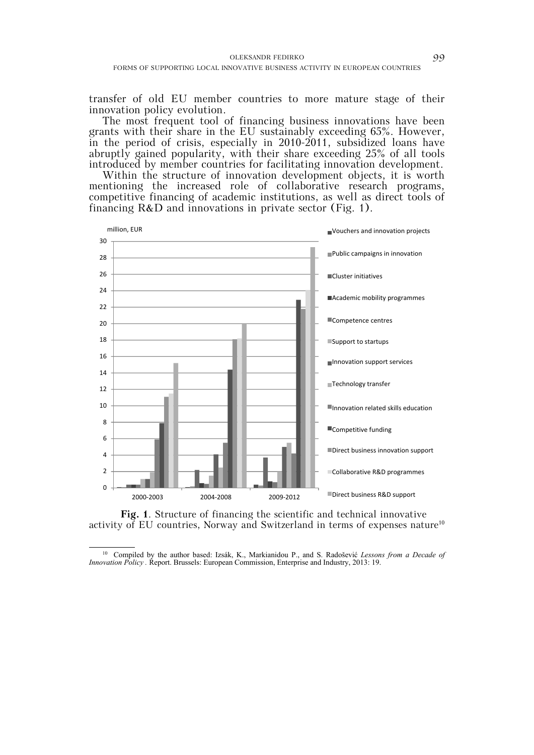transfer of old EU member countries to more mature stage of their innovation policy evolution.

The most frequent tool of financing business innovations have been grants with their share in the EU sustainably exceeding 65%. However, in the period of crisis, especially in 2010-2011, subsidized loans have abruptly gained popularity, with their share exceeding 25% of all tools introduced by member countries for facilitating innovation development.

Within the structure of innovation development objects, it is worth mentioning the increased role of collaborative research programs, competitive financing of academic institutions, as well as direct tools of financing R&D and innovations in private sector (Fig. 1).



**Fig. 1**. Structure of financing the scientific and technical innovative activity of EU countries, Norway and Switzerland in terms of expenses nature<sup>10</sup>

 <sup>10</sup> Compiled by the author based: Izsák, K., Markianidou P., and S. Radoševi<sup>ć</sup> *Lessons from a Decade of Innovation Policy .* Report. Brussels: European Commission, Enterprise and Industry, 2013: 19.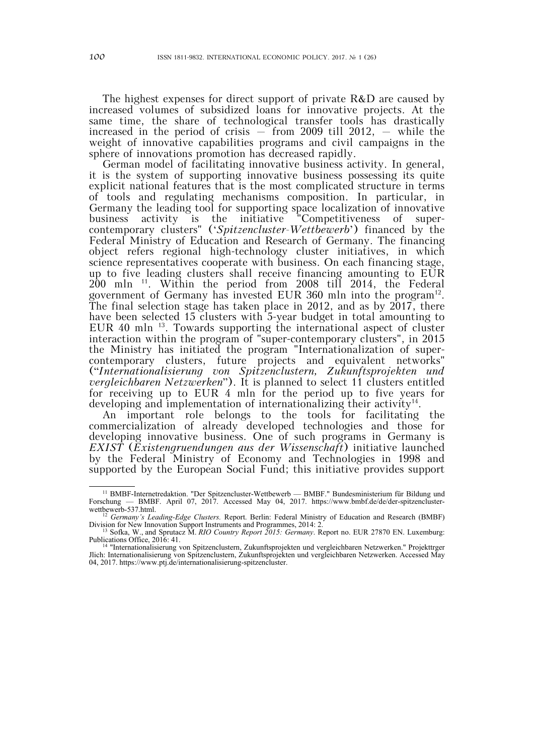The highest expenses for direct support of private  $R&D$  are caused by increased volumes of subsidized loans for innovative projects. At the same time, the share of technological transfer tools has drastically increased in the period of crisis  $-$  from 2009 till 2012,  $-$  while the weight of innovative capabilities programs and civil campaigns in the sphere of innovations promotion has decreased rapidly.

German model of facilitating innovative business activity. In general, it is the system of supporting innovative business possessing its quite explicit national features that is the most complicated structure in terms of tools and regulating mechanisms composition. In particular, in Germany the leading tool for supporting space localization of innovative business activity is the initiative "Competitiveness of supercontemporary clusters" ('*Spitzencluster-Wettbewerb*') financed by the Federal Ministry of Education and Research of Germany. The financing object refers regional high-technology cluster initiatives, in which science representatives cooperate with business. On each financing stage, up to five leading clusters shall receive financing amounting to EUR 200 mln 11. Within the period from 2008 till 2014, the Federal government of Germany has invested EUR 360 mln into the program<sup>12</sup>. The final selection stage has taken place in 2012, and as by 2017, there have been selected 15 clusters with 5-year budget in total amounting to EUR 40 mln 13. Towards supporting the international aspect of cluster interaction within the program of "super-contemporary clusters", in 2015 the Ministry has initiated the program "Internationalization of supercontemporary clusters, future projects and equivalent networks" ("*Internationalisierung von Spitzenclustern, Zukunftsprojekten und vergleichbaren Netzwerken*"). It is planned to select 11 clusters entitled for receiving up to EUR 4 mln for the period up to five years for developing and implementation of internationalizing their activity<sup>14</sup>.

An important role belongs to the tools for facilitating the commercialization of already developed technologies and those for developing innovative business. One of such programs in Germany is *EXIST* (*Existengruendungen aus der Wissenschaft*) initiative launched by the Federal Ministry of Economy and Technologies in 1998 and supported by the European Social Fund; this initiative provides support

<sup>&</sup>lt;sup>11</sup> BMBF-Internetredaktion. "Der Spitzencluster-Wettbewerb — BMBF." Bundesministerium für Bildung und schung — BMBF. April 07, 2017. Accessed May 04, 2017. https://www.bmbf.de/de/der-spitzencluster-Forschung — BMBF. April 07, 2017. Accessed May 04, 2017. https://www.bmbf.de/de/der-spitzencluster-

wettbewerb-537.html.<br><sup>12</sup> *Germany's Leading-Edge Clusters.* Report. Berlin: Federal Ministry of Education and Research (BMBF) Division for New Innovation Support Instruments and Programmes, 2014: 2. 13 Sofka, W., and Sprutacz M. *RIO Country Report 2015: Germany*. Report no. EUR 27870 EN. Luxemburg:

Publications Office, 2016: 41. *NIO Country Report 2015: Germany*. Report no. EUR 27870 EN. Luxemburg: <sup>13</sup> Sofka, W., and Sprutacz M. *RIO Country Report 2015: Germany*. Report no. EUR 27870 EN. Luxemburg: Publications Of

Jlich: Internationalisierung von Spitzenclustern, Zukunftsprojekten und vergleichbaren Netzwerken. Accessed May 04, 2017. https://www.ptj.de/internationalisierung-spitzencluster.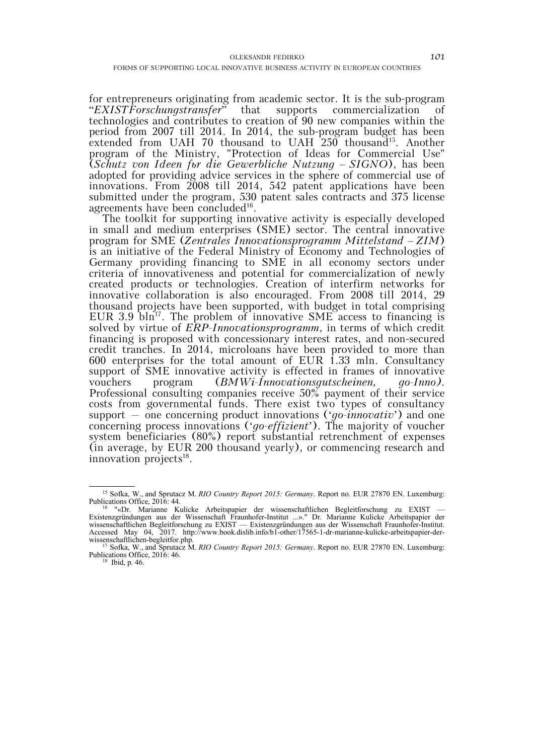for entrepreneurs originating from academic sector. It is the sub-program "*EXISTForschungstransfer*" that supports commercialization of technologies and contributes to creation of 90 new companies within the period from 2007 till 2014. In 2014, the sub-program budget has been extended from UAH 70 thousand to UAH 250 thousand<sup>15</sup>. Another program of the Ministry, "Protection of Ideas for Commercial Use" (*Schutz von Ideen fьr die Gewerbliche Nutzung* – *SIGNO*), has been adopted for providing advice services in the sphere of commercial use of innovations. From 2008 till 2014, 542 patent applications have been submitted under the program, 530 patent sales contracts and 375 license agreements have been concluded<sup>16</sup>.

The toolkit for supporting innovative activity is especially developed in small and medium enterprises (SME) sector. The central innovative program for SME (*Zentrales Innovationsprogramm Mittelstand* – *ZIM*) is an initiative of the Federal Ministry of Economy and Technologies of Germany providing financing to SME in all economy sectors under criteria of innovativeness and potential for commercialization of newly created products or technologies. Creation of interfirm networks for innovative collaboration is also encouraged. From 2008 till 2014, 29 thousand projects have been supported, with budget in total comprising EUR 3.9  $\text{bin}^{17}$ . The problem of innovative SME access to financing is solved by virtue of *ERP-Innovationsprogramm*, in terms of which credit financing is proposed with concessionary interest rates, and non-secured credit tranches. In 2014, microloans have been provided to more than 600 enterprises for the total amount of EUR 1.33 mln. Consultancy support of SME innovative activity is effected in frames of innovative vouchers program (*BMWi-Innovationsgutscheinen, go-Inno)*. Professional consulting companies receive 50% payment of their service costs from governmental funds. There exist two types of consultancy support – one concerning product innovations ('*go-innovativ*') and one concerning process innovations ('*go-effizient*'). The majority of voucher system beneficiaries (80%) report substantial retrenchment of expenses (in average, by EUR 200 thousand yearly), or commencing research and innovation projects $^{18}$ .

 <sup>15</sup> Sofka, W., and Sprutacz M. *RIO Country Report 2015: Germany*. Report no. EUR 27870 EN. Luxemburg: Publications Office, 2016: 44.<br><sup>16</sup> "«Dr. Marianne Kulicke Arbeitspapier der wissenschaftlichen Begleitforschung zu EXIST —

Existenzgründungen aus der Wissenschaft Fraunhofer-Institut ...»." Dr. Marianne Kulicke Arbeitspapier der wissenschaftlichen Begleitforschung zu EXIST — Existenzgründungen aus der Wissenschaft Fraunhofer-Institut. Accessed May 04, 2017. http://www.book.dislib.info/b1-other/17565-1-dr-marianne-kulicke-arbeitspapier-der-

wissenschaftlichen-begleitfor.php.<br><sup>17</sup> Sofka, W., and Sprutacz M. *RIO Country Report 2015: Germany*. Report no. EUR 27870 EN. Luxemburg: Publications Office, 2016: 46.<br><sup>18</sup> Ibid, p. 46.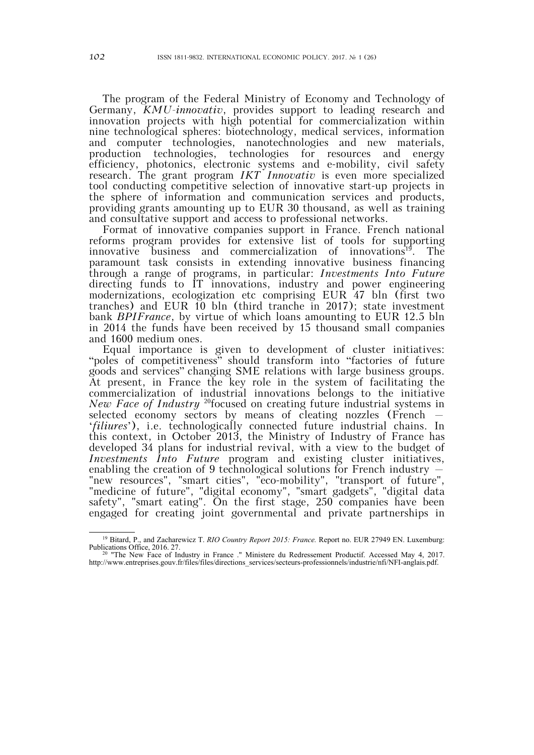The program of the Federal Ministry of Economy and Technology of Germany, *KMU-innovativ*, provides support to leading research and innovation projects with high potential for commercialization within nine technological spheres: biotechnology, medical services, information and computer technologies, nanotechnologies and new materials, production technologies, technologies for resources and energy efficiency, photonics, electronic systems and e-mobility, civil safety research. The grant program *IKT Innovativ* is even more specialized tool conducting competitive selection of innovative start-up projects in the sphere of information and communication services and products, providing grants amounting up to EUR 30 thousand, as well as training and consultative support and access to professional networks.

Format of innovative companies support in France. French national reforms program provides for extensive list of tools for supporting innovative business and commercialization of innovations<sup>19</sup>. The paramount task consists in extending innovative business financing through a range of programs, in particular: *Investments Into Future* directing funds to IT innovations, industry and power engineering modernizations, ecologization etc comprising EUR 47 bln (first two tranches) and EUR 10 bln (third tranche in 2017); state investment bank *BPIFrance*, by virtue of which loans amounting to EUR 12.5 bln in 2014 the funds have been received by 15 thousand small companies and 1600 medium ones.

Equal importance is given to development of cluster initiatives: "poles of competitiveness" should transform into "factories of future goods and services" changing SME relations with large business groups. At present, in France the key role in the system of facilitating the commercialization of industrial innovations belongs to the initiative *New Face of Industry* <sup>20</sup>focused on creating future industrial systems in selected economy sectors by means of cleating nozzles (French – '*filiиres*'), i.e. technologically connected future industrial chains. In this context, in October 2013, the Ministry of Industry of France has developed 34 plans for industrial revival, with a view to the budget of *Investments Into Future* program and existing cluster initiatives, enabling the creation of 9 technological solutions for French industry – "new resources", "smart cities", "eco-mobility", "transport of future", "medicine of future", "digital economy", "smart gadgets", "digital data safety", "smart eating". On the first stage, 250 companies have been engaged for creating joint governmental and private partnerships in

 <sup>19</sup> Bitard, P., and Zacharewicz T. *RIO Country Report 2015: France.* Report no. EUR 27949 EN. Luxemburg: Publications Office, 2016. 27. 20 "The New Face of Industry in France ." Ministere du Redressement Productif. Accessed May 4, 2017.

http://www.entreprises.gouv.fr/files/files/directions\_services/secteurs-professionnels/industrie/nfi/NFI-anglais.pdf.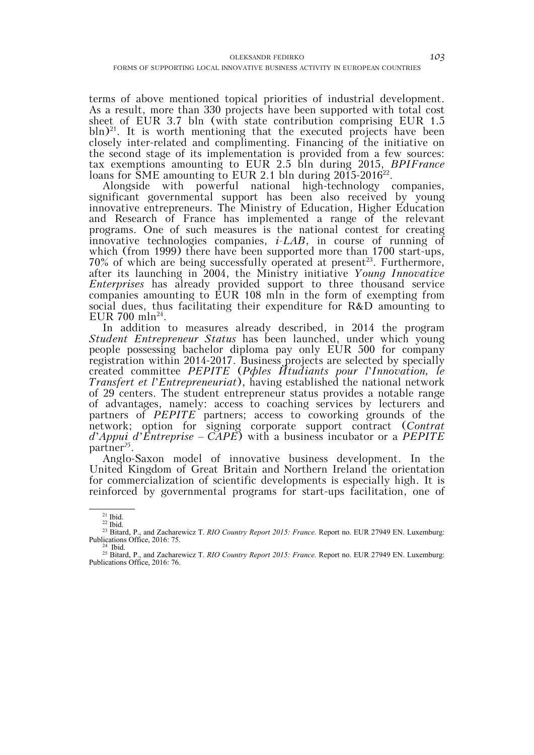terms of above mentioned topical priorities of industrial development. As a result, more than 330 projects have been supported with total cost sheet of EUR 3.7 bln (with state contribution comprising EUR 1.5  $b\ln^{21}$ . It is worth mentioning that the executed projects have been closely inter-related and complimenting. Financing of the initiative on the second stage of its implementation is provided from a few sources: tax exemptions amounting to EUR 2.5 bln during 2015, *BPIFrance* loans for SME amounting to EUR 2.1 bln during  $2015-2016^{22}$ .

Alongside with powerful national high-technology companies, significant governmental support has been also received by young innovative entrepreneurs. The Ministry of Education, Higher Education and Research of France has implemented a range of the relevant programs. One of such measures is the national contest for creating innovative technologies companies, *i-LAB*, in course of running of which (from 1999) there have been supported more than 1700 start-ups,  $70\%$  of which are being successfully operated at present<sup>23</sup>. Furthermore, after its launching in 2004, the Ministry initiative *Young Innovative Enterprises* has already provided support to three thousand service companies amounting to EUR 108 mln in the form of exempting from social dues, thus facilitating their expenditure for R&D amounting to EUR 700 mln<sup>24</sup>.

In addition to measures already described, in 2014 the program *Student Entrepreneur Status* has been launched, under which young people possessing bachelor diploma pay only EUR 500 for company registration within 2014-2017. Business projects are selected by specially created committee *PEPITE* (*Pфles Йtudiants pour l*'*Innovation, le Transfert et l*'*Entrepreneuriat*), having established the national network of 29 centers. The student entrepreneur status provides a notable range of advantages, namely: access to coaching services by lecturers and partners of *PEPITE* partners; access to coworking grounds of the network; option for signing corporate support contract (*Contrat d*'*Appui d*'*Entreprise* – *CAPE*) with a business incubator or a *PEPITE*  partner*<sup>25</sup>*.

Anglo-Saxon model of innovative business development. In the United Kingdom of Great Britain and Northern Ireland the orientation for commercialization of scientific developments is especially high. It is reinforced by governmental programs for start-ups facilitation, one of

 $21$  Ibid.

<sup>22</sup> Ibid.

<sup>&</sup>lt;sup>23</sup> Bitard, P., and Zacharewicz T. *RIO Country Report 2015: France.* Report no. EUR 27949 EN. Luxemburg: Publications Office, 2016: 75.<br><sup>24</sup> Ibid.

<sup>25</sup> Bitard, P., and Zacharewicz T. *RIO Country Report 2015: France.* Report no. EUR 27949 EN. Luxemburg: Publications Office, 2016: 76.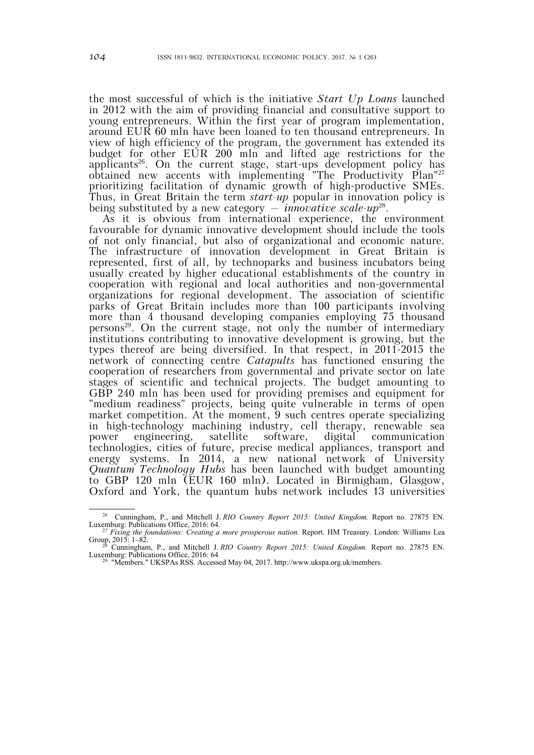the most successful of which is the initiative *Start Up Loans* launched in 2012 with the aim of providing financial and consultative support to young entrepreneurs. Within the first year of program implementation, around EUR 60 mln have been loaned to ten thousand entrepreneurs. In view of high efficiency of the program, the government has extended its budget for other EUR 200 mln and lifted age restrictions for the applicants<sup>26</sup>. On the current stage, start-ups development policy has obtained new accents with implementing "The Productivity Plan"27 prioritizing facilitation of dynamic growth of high-productive SMEs. Thus, in Great Britain the term *start-up* popular in innovation policy is being substituted by a new category – *innovative scale-up*28.

As it is obvious from international experience, the environment favourable for dynamic innovative development should include the tools of not only financial, but also of organizational and economic nature. The infrastructure of innovation development in Great Britain is represented, first of all, by technoparks and business incubators being usually created by higher educational establishments of the country in cooperation with regional and local authorities and non-governmental organizations for regional development. The association of scientific parks of Great Britain includes more than 100 participants involving more than 4 thousand developing companies employing 75 thousand persons<sup>29</sup>. On the current stage, not only the number of intermediary institutions contributing to innovative development is growing, but the types thereof are being diversified. In that respect, in 2011-2015 the network of connecting centre *Catapults* has functioned ensuring the cooperation of researchers from governmental and private sector on late stages of scientific and technical projects. The budget amounting to GBP 240 mln has been used for providing premises and equipment for "medium readiness" projects, being quite vulnerable in terms of open market competition. At the moment, 9 such centres operate specializing in high-technology machining industry, cell therapy, renewable sea power engineering, satellite software, digital communication technologies, cities of future, precise medical appliances, transport and energy systems. In 2014, a new national network of University *Quantum Technology Hubs* has been launched with budget amounting to GBP 120 mln (EUR 160 mln). Located in Birmigham, Glasgow, Oxford and York, the quantum hubs network includes 13 universities

<sup>&</sup>lt;sup>26</sup> Cunningham, P., and Mitchell J. *RIO Country Report 2015: United Kingdom*. Report no. 27875 EN. Luxemburg: Publications Office, 2016: 64. 27 *Fixing the foundations: Creating a more prosperous nation.* Report. HM Treasury. London: Williams Lea

<sup>&</sup>lt;sup>27</sup> Fixing the foundations: Creating a more prosperous nation. Report. HM Treasury. London: Williams Lea Group, 2015: 1–82.<br><sup>28</sup> Cunningham, P., and Mitchell J. *RIO Country Report 2015: United Kingdom*. Report no. 27875

<sup>&</sup>lt;sup>3</sup> "Members." UKSPAs RSS. Accessed May 04, 2017. http://www.ukspa.org.uk/members.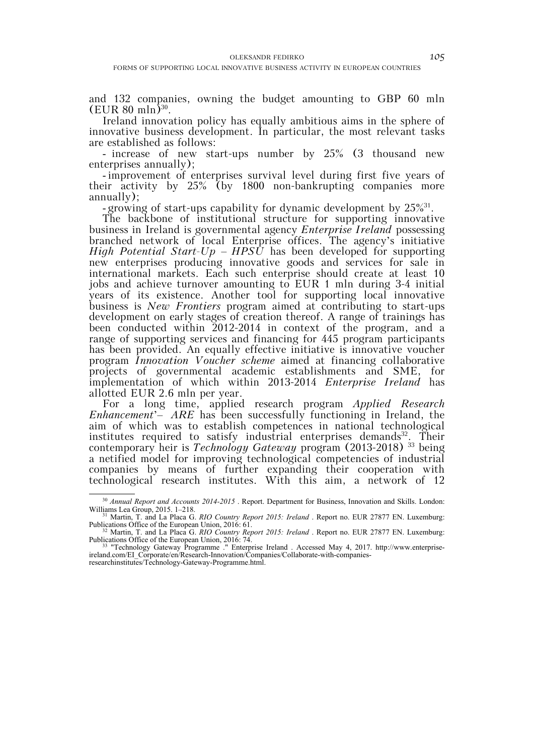and 132 companies, owning the budget amounting to GBP 60 mln  $(EUR 80 mln)^{30}$ .

Ireland innovation policy has equally ambitious aims in the sphere of innovative business development. In particular, the most relevant tasks are established as follows:

- increase of new start-ups number by 25% (3 thousand new enterprises annually);

- improvement of enterprises survival level during first five years of their activity by 25% (by 1800 non-bankrupting companies more annually);

- growing of start-ups capability for dynamic development by  $25\frac{631}{6}$ .

The backbone of institutional structure for supporting innovative business in Ireland is governmental agency *Enterprise Ireland* possessing branched network of local Enterprise offices. The agency's initiative *High Potential Start-Up – HPSU* has been developed for supporting new enterprises producing innovative goods and services for sale in international markets. Each such enterprise should create at least 10 jobs and achieve turnover amounting to EUR 1 mln during 3-4 initial years of its existence. Another tool for supporting local innovative business is *New Frontiers* program aimed at contributing to start-ups development on early stages of creation thereof. A range of trainings has been conducted within 2012-2014 in context of the program, and a range of supporting services and financing for 445 program participants has been provided. An equally effective initiative is innovative voucher program *Innovation Voucher scheme* aimed at financing collaborative projects of governmental academic establishments and SME, for implementation of which within 2013-2014 *Enterprise Ireland* has allotted EUR 2.6 mln per year.

For a long time, applied research program *Applied Research Enhancement*'– *ARE* has been successfully functioning in Ireland, the aim of which was to establish competences in national technological institutes required to satisfy industrial enterprises demands<sup>32</sup>. Their contemporary heir is *Technology Gateway* program (2013-2018) 33 being a netified model for improving technological competencies of industrial companies by means of further expanding their cooperation with technological research institutes. With this aim, a network of 12

<sup>&</sup>lt;sup>30</sup> Annual Report and Accounts 2014-2015 . Report. Department for Business, Innovation and Skills. London: Williams Lea Group, 2015. 1–218.<br><sup>31</sup> Martin, T. and La Placa G. *RIO Country Report 2015: Ireland* . Report no. EUR 27877 EN. Luxemburg:

Publications Office of the European Union, 2016: 61. 32 Martin, T. and La Placa G. *RIO Country Report 2015: Ireland* . Report no. EUR 27877 EN. Luxemburg:

Publications Office of the European Union, 2016: 74.<br><sup>33</sup> "Technology Gateway Programme ." Enterprise Ireland . Accessed May 4, 2017. http://www.enterprise-

ireland.com/EI\_Corporate/en/Research-Innovation/Companies/Collaborate-with-companies-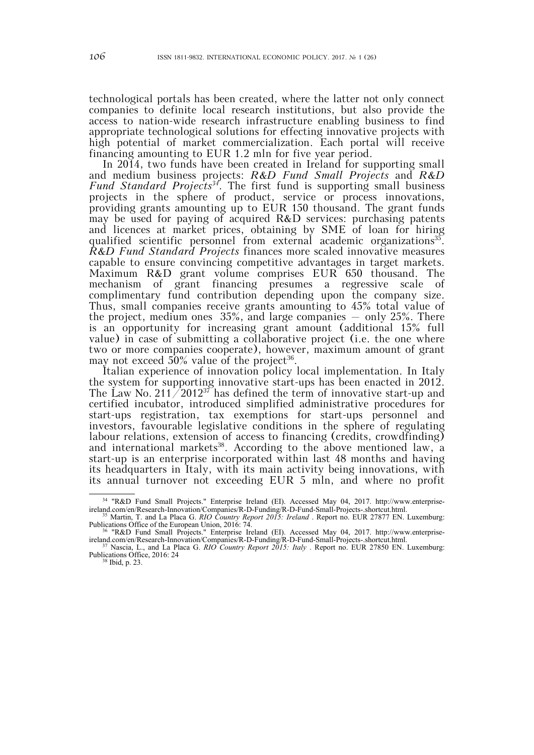technological portals has been created, where the latter not only connect companies to definite local research institutions, but also provide the access to nation-wide research infrastructure enabling business to find appropriate technological solutions for effecting innovative projects with high potential of market commercialization. Each portal will receive financing amounting to EUR 1.2 mln for five year period.

In 2014, two funds have been created in Ireland for supporting small and medium business projects: *R&D Fund Small Projects* and *R&D Fund Standard Projects34*. The first fund is supporting small business projects in the sphere of product, service or process innovations, providing grants amounting up to EUR 150 thousand. The grant funds may be used for paying of acquired R&D services: purchasing patents and licences at market prices, obtaining by SME of loan for hiring qualified scientific personnel from external academic organizations<sup>35</sup>. *R&D Fund Standard Projects* finances more scaled innovative measures capable to ensure convincing competitive advantages in target markets. Maximum R&D grant volume comprises EUR 650 thousand. The mechanism of grant financing presumes a regressive scale of complimentary fund contribution depending upon the company size. Thus, small companies receive grants amounting to 45% total value of the project, medium ones 35%, and large companies – only 25%. There is an opportunity for increasing grant amount (additional 15% full value) in case of submitting a collaborative project (i.e. the one where two or more companies cooperate), however, maximum amount of grant may not exceed  $50\%$  value of the project<sup>36</sup>.

Italian experience of innovation policy local implementation. In Italy the system for supporting innovative start-ups has been enacted in 2012. The Law No. 211/2012<sup>37</sup> has defined the term of innovative start-up and certified incubator, introduced simplified administrative procedures for start-ups registration, tax exemptions for start-ups personnel and investors, favourable legislative conditions in the sphere of regulating labour relations, extension of access to financing (credits, crowdfinding) and international markets<sup>38</sup>. According to the above mentioned law, a start-up is an enterprise incorporated within last 48 months and having its headquarters in Italy, with its main activity being innovations, with its annual turnover not exceeding EUR 5 mln, and where no profit

<sup>&</sup>lt;sup>34</sup> "R&D Fund Small Projects." Enterprise Ireland (EI). Accessed May 04, 2017. http://www.enterpriseireland.com/en/Research-Innovation/Companies/R-D-Funding/R-D-Fund-Small-Projects-.shortcut.html. 35 Martin, T. and La Placa G. *RIO Country Report 2015: Ireland* . Report no. EUR 27877 EN. Luxemburg:

Publications Office of the European Union, 2016: 74.<br><sup>36</sup> "R&D Fund Small Projects." Enterprise Ireland (EI). Accessed May 04, 2017. http://www.enterprise-

ireland.com/en/Research-Innovation/Companies/R-D-Funding/R-D-Fund-Small-Projects-.shortcut.html. 37 Nascia, L., and La Placa G. *RIO Country Report 2015: Italy* . Report no. EUR 27850 EN. Luxemburg:

Publications Office, 2016: 24<br><sup>38</sup> Ibid, p. 23.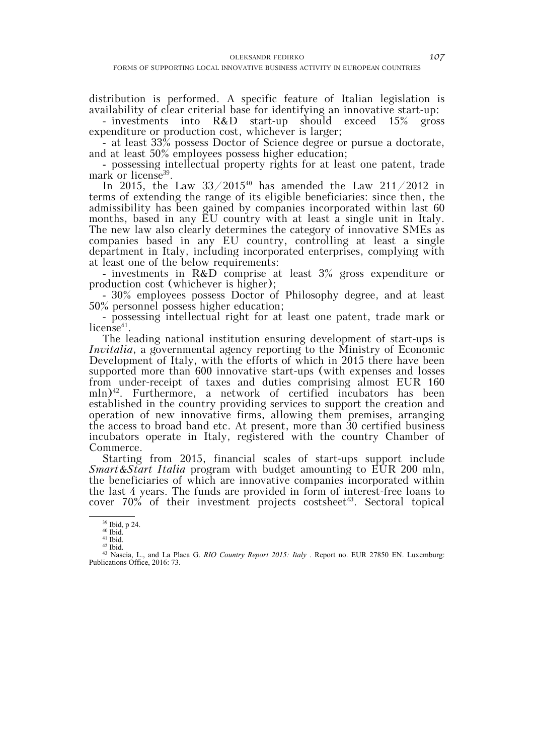distribution is performed. A specific feature of Italian legislation is availability of clear criterial base for identifying an innovative start-up:

- investments into R&D start-up should exceed 15% gross expenditure or production cost, whichever is larger;

- at least 33% possess Doctor of Science degree or pursue a doctorate, and at least 50% employees possess higher education;

- possessing intellectual property rights for at least one patent, trade mark or license<sup>39</sup>.

In 2015, the Law  $33/2015^{40}$  has amended the Law 211/2012 in terms of extending the range of its eligible beneficiaries: since then, the admissibility has been gained by companies incorporated within last 60 months, based in any EU country with at least a single unit in Italy. The new law also clearly determines the category of innovative SMEs as companies based in any EU country, controlling at least a single department in Italy, including incorporated enterprises, complying with at least one of the below requirements:

- investments in R&D comprise at least 3% gross expenditure or production cost (whichever is higher);

- 30% employees possess Doctor of Philosophy degree, and at least 50% personnel possess higher education;

- possessing intellectual right for at least one patent, trade mark or license $41$ .

The leading national institution ensuring development of start-ups is *Invitalia*, a governmental agency reporting to the Ministry of Economic Development of Italy, with the efforts of which in 2015 there have been supported more than 600 innovative start-ups (with expenses and losses from under-receipt of taxes and duties comprising almost EUR 160 mln)<sup>42</sup>. Furthermore, a network of certified incubators has been established in the country providing services to support the creation and operation of new innovative firms, allowing them premises, arranging the access to broad band etc. At present, more than 30 certified business incubators operate in Italy, registered with the country Chamber of Commerce.

Starting from 2015, financial scales of start-ups support include *Smart&Start Italia* program with budget amounting to EUR 200 mln, the beneficiaries of which are innovative companies incorporated within the last 4 years. The funds are provided in form of interest-free loans to cover  $70\%$  of their investment projects costsheet<sup>43</sup>. Sectoral topical

 $41$  Ibid.  $42$  Ibid.

 $^{39}$  Ibid, p 24.

<sup>43</sup> Nascia, L., and La Placa G. *RIO Country Report 2015: Italy* . Report no. EUR 27850 EN. Luxemburg: Publications Office, 2016: 73.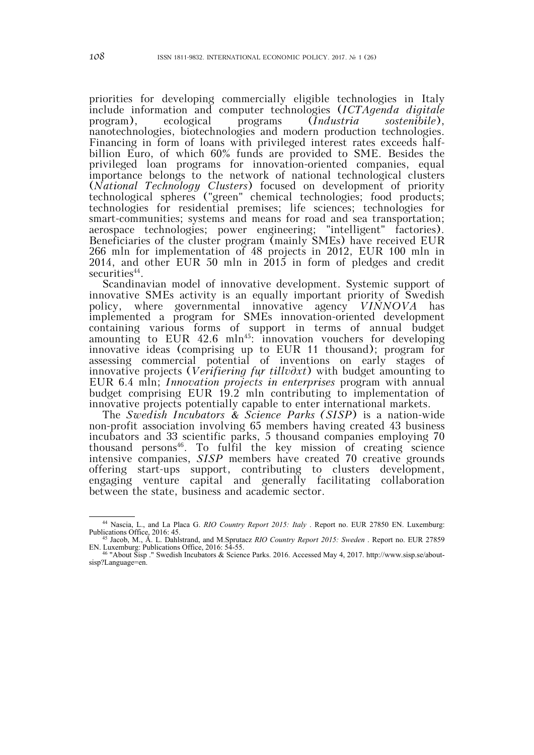priorities for developing commercially eligible technologies in Italy include information and computer technologies (*ICTAgenda digitale* program), ecological programs (*Industria sostenibile*), nanotechnologies, biotechnologies and modern production technologies. Financing in form of loans with privileged interest rates exceeds halfbillion Euro, of which 60% funds are provided to SME. Besides the privileged loan programs for innovation-oriented companies, equal importance belongs to the network of national technological clusters (*National Technology Clusters*) focused on development of priority technological spheres ("green" chemical technologies; food products; technologies for residential premises; life sciences; technologies for smart-communities; systems and means for road and sea transportation; aerospace technologies; power engineering; "intelligent" factories). Beneficiaries of the cluster program (mainly SMEs) have received EUR 266 mln for implementation of 48 projects in 2012, EUR 100 mln in 2014, and other EUR 50 mln in 2015 in form of pledges and credit securities<sup>44</sup>.

Scandinavian model of innovative development. Systemic support of innovative SMEs activity is an equally important priority of Swedish policy, where governmental innovative agency *VINNOVA* has implemented a program for SMEs innovation-oriented development containing various forms of support in terms of annual budget amounting to EUR  $42.6$  mln<sup>45</sup>: innovation vouchers for developing innovative ideas (comprising up to EUR 11 thousand); program for assessing commercial potential of inventions on early stages of innovative projects (*Verifiering fцr tillvдxt*) with budget amounting to EUR 6.4 mln; *Innovation projects in enterprises* program with annual budget comprising EUR 19.2 mln contributing to implementation of innovative projects potentially capable to enter international markets.

The *Swedish Incubators & Science Parks (SISP*) is a nation-wide non-profit association involving 65 members having created 43 business incubators and 33 scientific parks, 5 thousand companies employing 70 thousand persons<sup>46</sup>. To fulfil the key mission of creating science intensive companies, *SISP* members have created 70 creative grounds offering start-ups support, contributing to clusters development, engaging venture capital and generally facilitating collaboration between the state, business and academic sector.

 <sup>44</sup> Nascia, L., and La Placa G. *RIO Country Report 2015: Italy* . Report no. EUR 27850 EN. Luxemburg: Publications Office, 2016: 45. 45 Jacob, M., Å. L. Dahlstrand, and M.Sprutacz *RIO Country Report 2015: Sweden* . Report no. EUR 27859

<sup>&</sup>lt;sup>45</sup> Jacob, M., Å. L. Dahlstrand, and M.Sprutacz *RIO Country Report 2015: Sweden*. Report no. EUR 27859 EN. Luxemburg: Publications Office, 2016: 54-55.<br><sup>46</sup> "About Sisp ." Swedish Incubators & Science Parks. 2016. Acces

sisp?Language=en.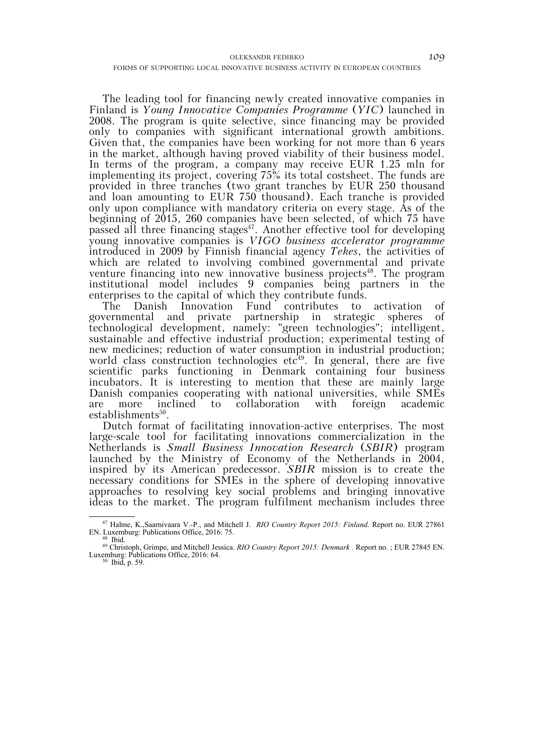The leading tool for financing newly created innovative companies in Finland is *Young Innovative Companies Programme* (*YIC*) launched in 2008. The program is quite selective, since financing may be provided only to companies with significant international growth ambitions. Given that, the companies have been working for not more than 6 years in the market, although having proved viability of their business model. In terms of the program, a company may receive EUR 1.25 mln for implementing its project, covering 75% its total costsheet. The funds are provided in three tranches (two grant tranches by EUR 250 thousand and loan amounting to EUR 750 thousand). Each tranche is provided only upon compliance with mandatory criteria on every stage. As of the beginning of 2015, 260 companies have been selected, of which 75 have passed all three financing stages<sup>47</sup>. Another effective tool for developing young innovative companies is *VIGO business accelerator programme* introduced in 2009 by Finnish financial agency *Tekes*, the activities of which are related to involving combined governmental and private venture financing into new innovative business projects<sup>48</sup>. The program institutional model includes 9 companies being partners in the enterprises to the capital of which they contribute funds.

The Danish Innovation Fund contributes to activation of governmental and private partnership in strategic spheres of technological development, namely: "green technologies"; intelligent, sustainable and effective industrial production; experimental testing of new medicines; reduction of water consumption in industrial production; world class construction technologies etc $49$ . In general, there are five scientific parks functioning in Denmark containing four business incubators. It is interesting to mention that these are mainly large Danish companies cooperating with national universities, while SMEs are more inclined to collaboration with foreign academic  $establishments<sup>50</sup>$ .

Dutch format of facilitating innovation-active enterprises. The most large-scale tool for facilitating innovations commercialization in the Netherlands is *Small Business Innovation Research* (*SBIR*) program launched by the Ministry of Economy of the Netherlands in 2004, inspired by its American predecessor. *SBIR* mission is to create the necessary conditions for SMEs in the sphere of developing innovative approaches to resolving key social problems and bringing innovative ideas to the market. The program fulfilment mechanism includes three

 <sup>47</sup> Halme, K.,Saarnivaara V.-P., and Mitchell J. *RIO Country Report 2015: Finland*. Report no. EUR 27861 EN. Luxemburg: Publications Office, 2016: 75. 48 Ibid.

<sup>49</sup> Christoph, Grimpe, and Mitchell Jessica. *RIO Country Report 2015: Denmark .* Report no. ; EUR 27845 EN. Luxemburg: Publications Office, 2016: 64.<br> $^{50}$  Ibid, p. 59.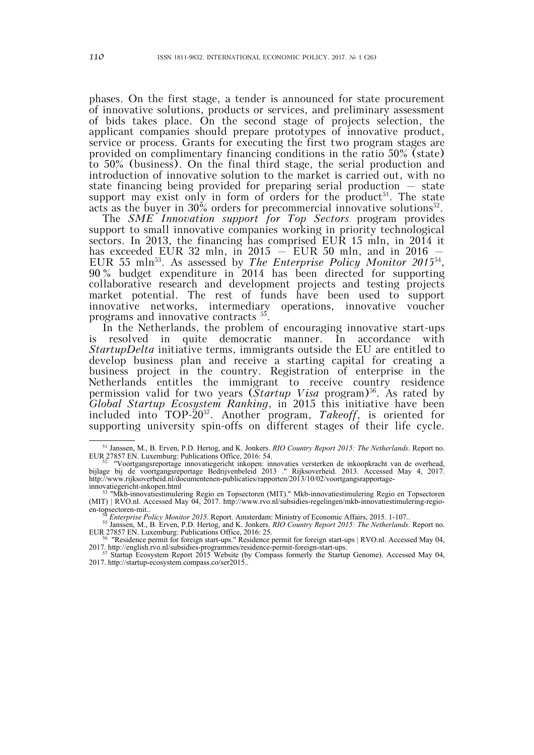phases. On the first stage, a tender is announced for state procurement of innovative solutions, products or services, and preliminary assessment of bids takes place. On the second stage of projects selection, the applicant companies should prepare prototypes of innovative product, service or process. Grants for executing the first two program stages are provided on complimentary financing conditions in the ratio 50% (state) to 50% (business). On the final third stage, the serial production and introduction of innovative solution to the market is carried out, with no state financing being provided for preparing serial production – state support may exist only in form of orders for the product<sup>51</sup>. The state acts as the buyer in 30% orders for precommercial innovative solutions<sup>52</sup>.

The *SME Innovation support for Top Sectors* program provides support to small innovative companies working in priority technological sectors. In 2013, the financing has comprised EUR 15 mln, in 2014 it has exceeded EUR 32 mln, in  $2015$  – EUR 50 mln, and in 2016 EUR 55 mln53. As assessed by *The Enterprise Policy Monitor 2015*54, 90 % budget expenditure in 2014 has been directed for supporting collaborative research and development projects and testing projects market potential. The rest of funds have been used to support innovative networks, intermediary operations, innovative voucher programs and innovative contracts 55.

In the Netherlands, the problem of encouraging innovative start-ups is resolved in quite democratic manner. In accordance with *StartupDelta* initiative terms, immigrants outside the EU are entitled to develop business plan and receive a starting capital for creating a business project in the country. Registration of enterprise in the Netherlands entitles the immigrant to receive country residence permission valid for two years (*Startup Visa* program)<sup>56</sup>. As rated by *Global Startup Ecosystem Ranking*, in 2015 this initiative have been included into TOP-2057. Another program, *Takeoff*, is oriented for supporting university spin-offs on different stages of their life cycle.

 <sup>51</sup> Janssen, M., B. Erven, P.D. Hertog, and K. Jonkers. *RIO Country Report 2015: The Netherlands*. Report no. EUR 27857 EN. Luxemburg: Publications Office, 2016: 54. 52 "Voortgangsreportage innovatiegericht inkopen: innovaties versterken de inkoopkracht van de overhead,

bijlage bij de voortgangsreportage Bedrijvenbeleid 2013 ." Rijksoverheid. 2013. Accessed May 4, 2017. http://www.rijksoverheid.nl/documentenen-publicaties/rapporten/2013/10/02/voortgangsrapportage-

innovatiegericht-inkopen.html<br>
<sup>53</sup> "Mkb-innovatiestimulering Regio en Topsectoren (MIT)." Mkb-innovatiestimulering Regio en Topsectoren (MIT) | RVO.nl. Accessed May 04, 2017. http://www.rvo.nl/subsidies-regelingen/mkb-innovatiestimulering-regioen-topsectoren-mit..<br><sup>54</sup> *Enterprise Policy Monitor 2015*. Report. Amsterdam: Ministry of Economic Affairs, 2015. 1-107..<br><sup>55</sup> Janssen, M., B. Erven, P.D. Hertog, and K. Jonkers. *RIO Country Report 2015: The Netherlands* 

EUR 27857 EN. Luxemburg: Publications Office, 2016: 25.<br><sup>56</sup> "Residence permit for foreign start-ups." Residence permit for foreign start-ups | RVO.nl. Accessed May 04,

<sup>&</sup>lt;sup>56</sup> "Residence permit for foreign start-ups." Residence permit for foreign start-ups.  $|$  RVO.nl. Accessed May 04, 2017. http://english.rvo.nl/subsidies-programmes/residence-permit-foreign-start-ups.<br><sup>57</sup> Startup Ecosyst

<sup>2017.</sup> http://startup-ecosystem.compass.co/ser2015..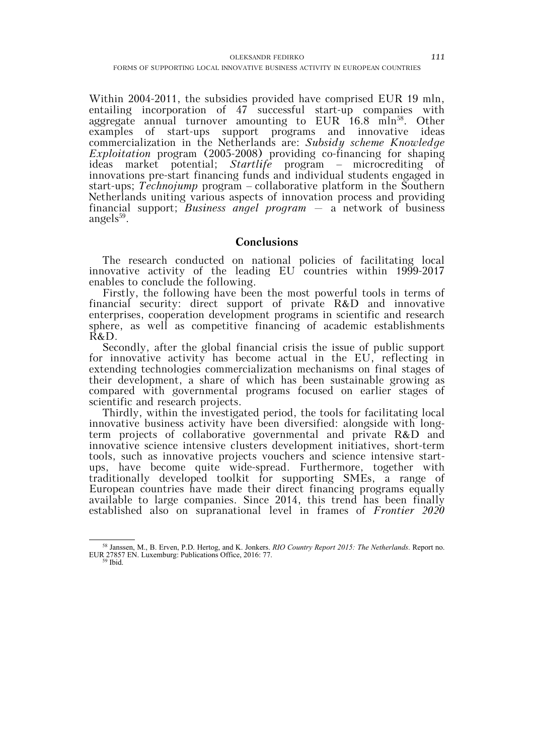Within 2004-2011, the subsidies provided have comprised EUR 19 mln, entailing incorporation of 47 successful start-up companies with aggregate annual turnover amounting to  $EUR$  16.8 mln<sup>58</sup>. Other examples of start-ups support programs and innovative ideas commercialization in the Netherlands are: *Subsidy scheme Knowledge Exploitation* program (2005-2008) providing co-financing for shaping ideas market potential; *Startlife* program – microcrediting of innovations pre-start financing funds and individual students engaged in start-ups; *Technojump* program – collaborative platform in the Southern Netherlands uniting various aspects of innovation process and providing financial support; *Business angel program* – a network of business angels $^{59}$ .

# **Conclusions**

The research conducted on national policies of facilitating local innovative activity of the leading EU countries within 1999-2017 enables to conclude the following.

Firstly, the following have been the most powerful tools in terms of financial security: direct support of private R&D and innovative enterprises, cooperation development programs in scientific and research sphere, as well as competitive financing of academic establishments R&D.

Secondly, after the global financial crisis the issue of public support for innovative activity has become actual in the EU, reflecting in extending technologies commercialization mechanisms on final stages of their development, a share of which has been sustainable growing as compared with governmental programs focused on earlier stages of scientific and research projects.

Thirdly, within the investigated period, the tools for facilitating local innovative business activity have been diversified: alongside with longterm projects of collaborative governmental and private R&D and innovative science intensive clusters development initiatives, short-term tools, such as innovative projects vouchers and science intensive startups, have become quite wide-spread. Furthermore, together with traditionally developed toolkit for supporting SMEs, a range of European countries have made their direct financing programs equally available to large companies. Since 2014, this trend has been finally established also on supranational level in frames of *Frontier 2020*

 <sup>58</sup> Janssen, M., B. Erven, P.D. Hertog, and K. Jonkers. *RIO Country Report 2015: The Netherlands*. Report no. EUR 27857 EN. Luxemburg: Publications Office, 2016: 77. 59 Ibid.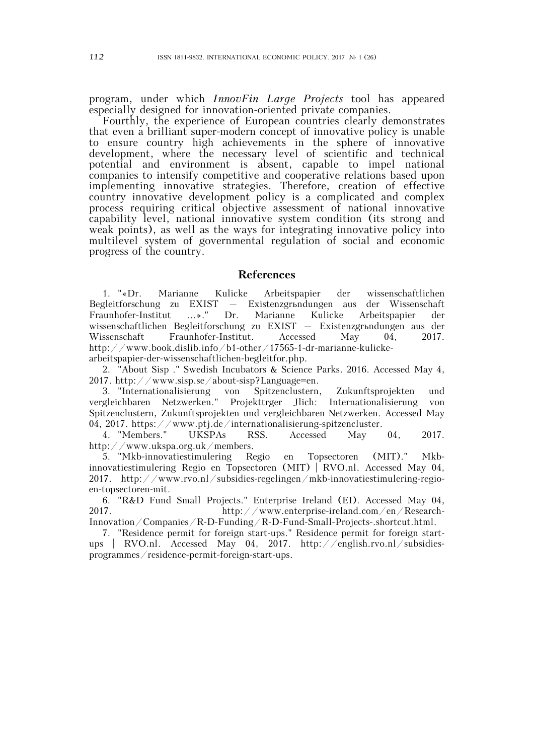program, under which *InnovFin Large Projects* tool has appeared especially designed for innovation-oriented private companies.

Fourthly, the experience of European countries clearly demonstrates that even a brilliant super-modern concept of innovative policy is unable to ensure country high achievements in the sphere of innovative development, where the necessary level of scientific and technical potential and environment is absent, capable to impel national companies to intensify competitive and cooperative relations based upon implementing innovative strategies. Therefore, creation of effective country innovative development policy is a complicated and complex process requiring critical objective assessment of national innovative capability level, national innovative system condition (its strong and weak points), as well as the ways for integrating innovative policy into multilevel system of governmental regulation of social and economic progress of the country.

## **References**

1. "«Dr. Marianne Kulicke Arbeitspapier der wissenschaftlichen Begleitforschung zu EXIST – Existenzgrъndungen aus der Wissenschaft<br>Fraunhofer-Institut ...»." Dr. Marianne Kulicke Arbeitspapier der Fraunhofer-Institut ...»." Dr. Marianne Kulicke Arbeitspapier der wissenschaftlichen Begleitforschung zu EXIST – Existenzgrьndungen aus der Wissenschaft Fraunhofer-Institut. Accessed May 04, 2017. http://www.book.dislib.info/b1-other/17565-1-dr-marianne-kulickearbeitspapier-der-wissenschaftlichen-begleitfor.php.

2. "About Sisp ." Swedish Incubators & Science Parks. 2016. Accessed May 4, 2017. http://www.sisp.se/about-sisp?Language=en.

3. "Internationalisierung von Spitzenclustern, Zukunftsprojekten und vergleichbaren Netzwerken." Projekttrger Jlich: Internationalisierung von Spitzenclustern, Zukunftsprojekten und vergleichbaren Netzwerken. Accessed May 04, 2017. https://www.ptj.de/internationalisierung-spitzencluster.

4. "Members." UKSPAs RSS. Accessed May 04, 2017. http://www.ukspa.org.uk/members.

5. "Mkb-innovatiestimulering Regio en Topsectoren (MIT)." Mkbinnovatiestimulering Regio en Topsectoren (MIT) | RVO.nl. Accessed May 04, 2017. http://www.rvo.nl/subsidies-regelingen/mkb-innovatiestimulering-regioen-topsectoren-mit.

6. "R&D Fund Small Projects." Enterprise Ireland (EI). Accessed May 04, 2017. http://www.enterprise-ireland.com/en/Research-Innovation/Companies/R-D-Funding/R-D-Fund-Small-Projects-.shortcut.html.

7. "Residence permit for foreign start-ups." Residence permit for foreign startups | RVO.nl. Accessed May 04, 2017. http://english.rvo.nl/subsidiesprogrammes/residence-permit-foreign-start-ups.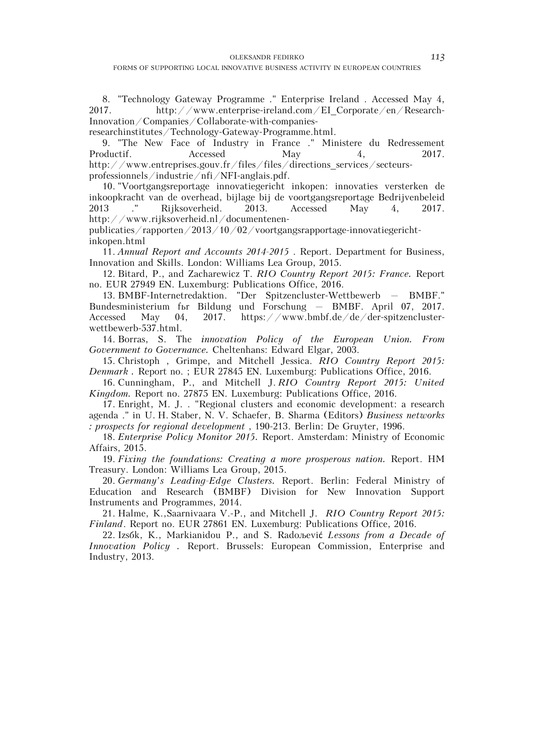8. "Technology Gateway Programme ." Enterprise Ireland . Accessed May 4, 2017. http://www.enterprise-ireland.com/EI\_Corporate/en/Research-Innovation/Companies/Collaborate-with-companies-

researchinstitutes/Technology-Gateway-Programme.html.

9. "The New Face of Industry in France ." Ministere du Redressement Productif. Accessed May 4, 2017. http://www.entreprises.gouv.fr/files/files/directions\_services/secteurs-

professionnels/industrie/nfi/NFI-anglais.pdf.

10. "Voortgangsreportage innovatiegericht inkopen: innovaties versterken de inkoopkracht van de overhead, bijlage bij de voortgangsreportage Bedrijvenbeleid 2013 ." Rijksoverheid. 2013. Accessed May 4, 2017. http://www.rijksoverheid.nl/documentenen-

publicaties/rapporten/2013/10/02/voortgangsrapportage-innovatiegerichtinkopen.html

11. *Annual Report and Accounts 2014-2015* . Report. Department for Business, Innovation and Skills. London: Williams Lea Group, 2015.

12. Bitard, P., and Zacharewicz T. *RIO Country Report 2015: France.* Report no. EUR 27949 EN. Luxemburg: Publications Office, 2016.

13. BMBF-Internetredaktion. "Der Spitzencluster-Wettbewerb – BMBF." Bundesministerium fьr Bildung und Forschung – BMBF. April 07, 2017. Accessed May 04, 2017. https://www.bmbf.de/de/der-spitzenclusterwettbewerb-537.html.

14. Borras, S. The *innovation Policy of the European Union. From Government to Governance.* Cheltenhans: Edward Elgar, 2003.

15. Christoph , Grimpe, and Mitchell Jessica. *RIO Country Report 2015: Denmark .* Report no. ; EUR 27845 EN. Luxemburg: Publications Office, 2016.

16. Cunningham, P., and Mitchell J. *RIO Country Report 2015: United Kingdom.* Report no. 27875 EN. Luxemburg: Publications Office, 2016.

17. Enright, M. J. . "Regional clusters and economic development: a research agenda ." in U. H. Staber, N. V. Schaefer, B. Sharma (Editors) *Business networks : prospects for regional development* , 190-213. Berlin: De Gruyter, 1996.

18. *Enterprise Policy Monitor 2015.* Report. Amsterdam: Ministry of Economic Affairs, 2015.

19. *Fixing the foundations: Creating a more prosperous nation.* Report. HM Treasury. London: Williams Lea Group, 2015.

20. *Germany's Leading-Edge Clusters.* Report. Berlin: Federal Ministry of Education and Research (BMBF) Division for New Innovation Support Instruments and Programmes, 2014.

21. Halme, K.,Saarnivaara V.-P., and Mitchell J. *RIO Country Report 2015: Finland*. Report no. EUR 27861 EN. Luxemburg: Publications Office, 2016.

22. Izsбk, K., Markianidou P., and S. Radoљević *Lessons from a Decade of Innovation Policy .* Report. Brussels: European Commission, Enterprise and Industry, 2013.